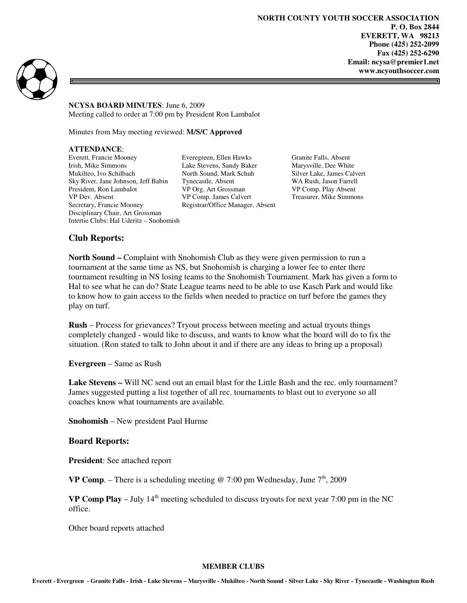**NORTH COUNTY YOUTH SOCCER ASSOCIATION P. O. Box 2844 EVERETT, WA 98213 Phone (425) 252-2099 Fax (425) 252-6290 Email: ncysa@premier1.net www.ncyouthsoccer.com** 

=



**NCYSA BOARD MINUTES**: June 6, 2009 Meeting called to order at 7:00 pm by President Ron Lambalot

Minutes from May meeting reviewed: **M/S/C Approved** 

### **ATTENDANCE**:

Everett, Francie Mooney Everegreen, Ellen Hawks Granite Falls, Absent<br>
Irish, Mike Simmons Lake Stevens, Sandy Baker Marysville, Dee White Mukilteo, Ivo Schilbach North Sound, Mark Schuh Silver Lake, James Calvert Sky River, Jane Johnson, Jeff Babin Tynecastle, Absent WA Rush, Jason Farrell President, Ron Lambalot **VP Org. Art Grossman VP Comp. Play Absent VP Dev. Absent VP Comp. James Calvert Treasurer, Mike Simmons** Secretary, Francie Mooney Registrar/Office Manager, Absent Disciplinary Chair, Art Grossman Intertie Clubs: Hal Uderitz – Snohomish

Lake Stevens, Sandy Baker VP Comp. James Calvert

### **Club Reports:**

**North Sound –** Complaint with Snohomish Club as they were given permission to run a tournament at the same time as NS, but Snohomish is charging a lower fee to enter there tournament resulting in NS losing teams to the Snohomish Tournament. Mark has given a form to Hal to see what he can do? State League teams need to be able to use Kasch Park and would like to know how to gain access to the fields when needed to practice on turf before the games they play on turf.

**Rush** – Process for grievances? Tryout process between meeting and actual tryouts things completely changed - would like to discuss, and wants to know what the board will do to fix the situation. (Ron stated to talk to John about it and if there are any ideas to bring up a proposal)

**Evergreen** – Same as Rush

**Lake Stevens –** Will NC send out an email blast for the Little Bash and the rec. only tournament? James suggested putting a list together of all rec. tournaments to blast out to everyone so all coaches know what tournaments are available.

**Snohomish** – New president Paul Hurme

### **Board Reports:**

**President**: See attached report

**VP Comp.** – There is a scheduling meeting @ 7:00 pm Wednesday, June  $7<sup>th</sup>$ , 2009

**VP Comp Play** – July  $14<sup>th</sup>$  meeting scheduled to discuss tryouts for next year 7:00 pm in the NC office.

Other board reports attached

#### **MEMBER CLUBS**